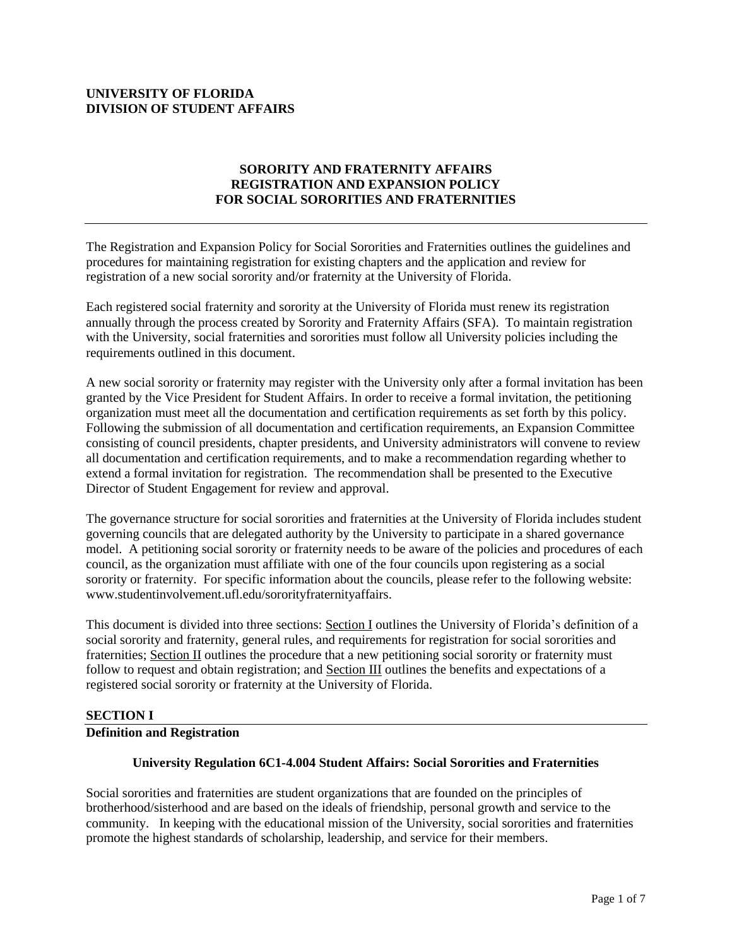# **UNIVERSITY OF FLORIDA DIVISION OF STUDENT AFFAIRS**

# **SORORITY AND FRATERNITY AFFAIRS REGISTRATION AND EXPANSION POLICY FOR SOCIAL SORORITIES AND FRATERNITIES**

The Registration and Expansion Policy for Social Sororities and Fraternities outlines the guidelines and procedures for maintaining registration for existing chapters and the application and review for registration of a new social sorority and/or fraternity at the University of Florida.

Each registered social fraternity and sorority at the University of Florida must renew its registration annually through the process created by Sorority and Fraternity Affairs (SFA). To maintain registration with the University, social fraternities and sororities must follow all University policies including the requirements outlined in this document.

A new social sorority or fraternity may register with the University only after a formal invitation has been granted by the Vice President for Student Affairs. In order to receive a formal invitation, the petitioning organization must meet all the documentation and certification requirements as set forth by this policy. Following the submission of all documentation and certification requirements, an Expansion Committee consisting of council presidents, chapter presidents, and University administrators will convene to review all documentation and certification requirements, and to make a recommendation regarding whether to extend a formal invitation for registration. The recommendation shall be presented to the Executive Director of Student Engagement for review and approval.

The governance structure for social sororities and fraternities at the University of Florida includes student governing councils that are delegated authority by the University to participate in a shared governance model. A petitioning social sorority or fraternity needs to be aware of the policies and procedures of each council, as the organization must affiliate with one of the four councils upon registering as a social sorority or fraternity. For specific information about the councils, please refer to the following website: www.studentinvolvement.ufl.edu/sororityfraternityaffairs.

This document is divided into three sections: Section I outlines the University of Florida's definition of a social sorority and fraternity, general rules, and requirements for registration for social sororities and fraternities; Section II outlines the procedure that a new petitioning social sorority or fraternity must follow to request and obtain registration; and Section III outlines the benefits and expectations of a registered social sorority or fraternity at the University of Florida.

## **SECTION I**

## **Definition and Registration**

## **University Regulation 6C1-4.004 Student Affairs: Social Sororities and Fraternities**

Social sororities and fraternities are student organizations that are founded on the principles of brotherhood/sisterhood and are based on the ideals of friendship, personal growth and service to the community. In keeping with the educational mission of the University, social sororities and fraternities promote the highest standards of scholarship, leadership, and service for their members.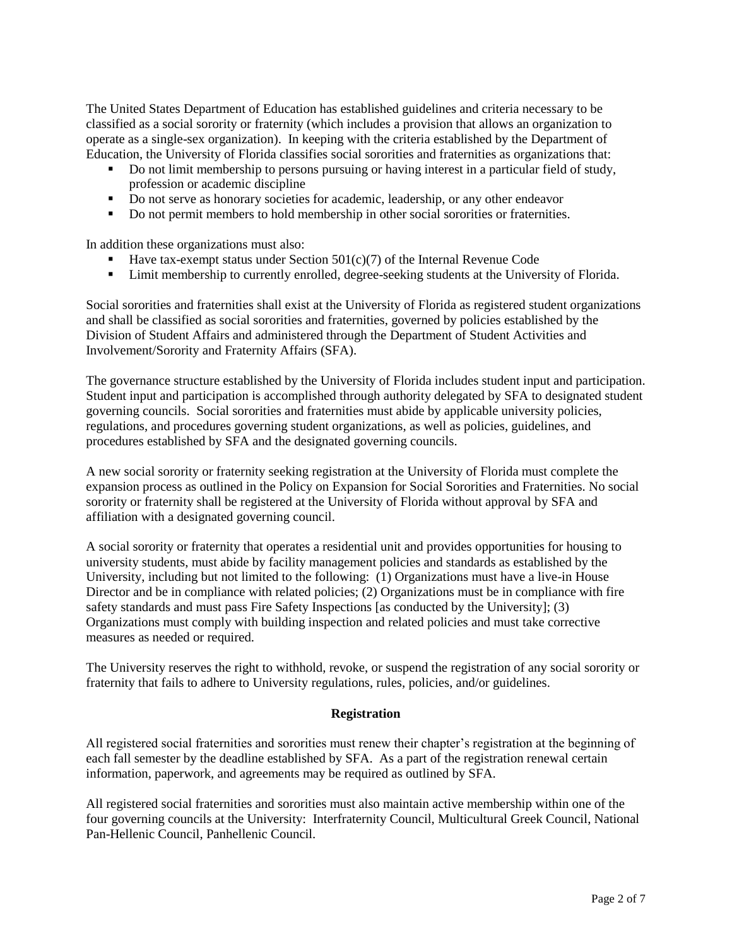The United States Department of Education has established guidelines and criteria necessary to be classified as a social sorority or fraternity (which includes a provision that allows an organization to operate as a single-sex organization). In keeping with the criteria established by the Department of Education, the University of Florida classifies social sororities and fraternities as organizations that:

- Do not limit membership to persons pursuing or having interest in a particular field of study, profession or academic discipline
- Do not serve as honorary societies for academic, leadership, or any other endeavor
- Do not permit members to hold membership in other social sororities or fraternities.

In addition these organizations must also:

- Have tax-exempt status under Section 501(c)(7) of the Internal Revenue Code
- Limit membership to currently enrolled, degree-seeking students at the University of Florida.

Social sororities and fraternities shall exist at the University of Florida as registered student organizations and shall be classified as social sororities and fraternities, governed by policies established by the Division of Student Affairs and administered through the Department of Student Activities and Involvement/Sorority and Fraternity Affairs (SFA).

The governance structure established by the University of Florida includes student input and participation. Student input and participation is accomplished through authority delegated by SFA to designated student governing councils. Social sororities and fraternities must abide by applicable university policies, regulations, and procedures governing student organizations, as well as policies, guidelines, and procedures established by SFA and the designated governing councils.

A new social sorority or fraternity seeking registration at the University of Florida must complete the expansion process as outlined in the Policy on Expansion for Social Sororities and Fraternities. No social sorority or fraternity shall be registered at the University of Florida without approval by SFA and affiliation with a designated governing council.

A social sorority or fraternity that operates a residential unit and provides opportunities for housing to university students, must abide by facility management policies and standards as established by the University, including but not limited to the following: (1) Organizations must have a live-in House Director and be in compliance with related policies; (2) Organizations must be in compliance with fire safety standards and must pass Fire Safety Inspections [as conducted by the University]; (3) Organizations must comply with building inspection and related policies and must take corrective measures as needed or required.

The University reserves the right to withhold, revoke, or suspend the registration of any social sorority or fraternity that fails to adhere to University regulations, rules, policies, and/or guidelines.

## **Registration**

All registered social fraternities and sororities must renew their chapter's registration at the beginning of each fall semester by the deadline established by SFA. As a part of the registration renewal certain information, paperwork, and agreements may be required as outlined by SFA.

All registered social fraternities and sororities must also maintain active membership within one of the four governing councils at the University: Interfraternity Council, Multicultural Greek Council, National Pan-Hellenic Council, Panhellenic Council.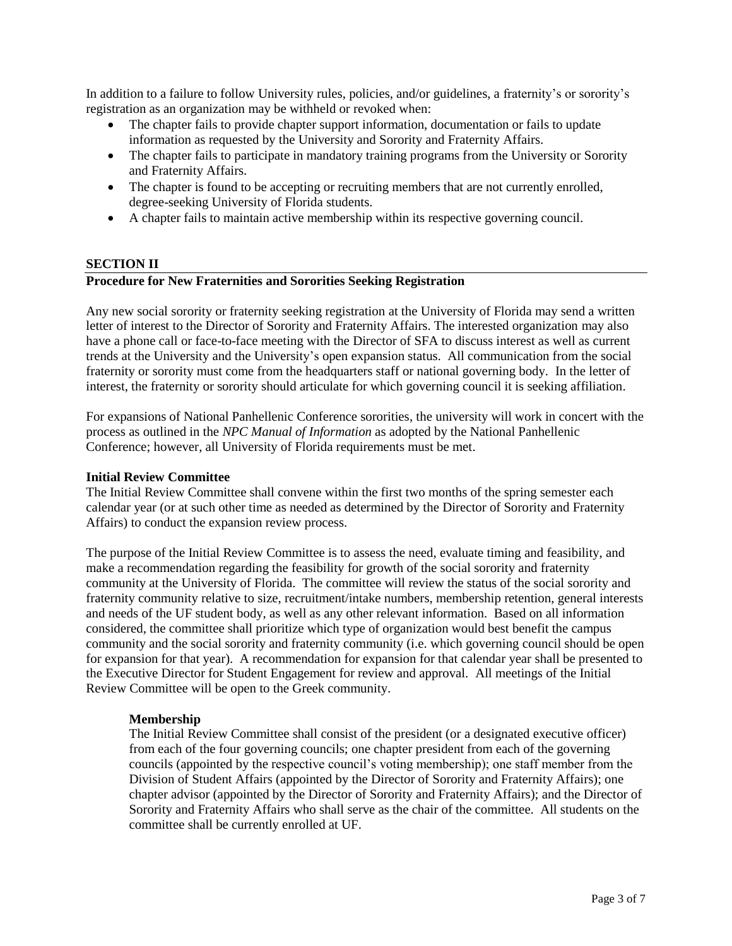In addition to a failure to follow University rules, policies, and/or guidelines, a fraternity's or sorority's registration as an organization may be withheld or revoked when:

- The chapter fails to provide chapter support information, documentation or fails to update information as requested by the University and Sorority and Fraternity Affairs.
- The chapter fails to participate in mandatory training programs from the University or Sorority and Fraternity Affairs.
- The chapter is found to be accepting or recruiting members that are not currently enrolled, degree-seeking University of Florida students.
- A chapter fails to maintain active membership within its respective governing council.

## **SECTION II**

#### **Procedure for New Fraternities and Sororities Seeking Registration**

Any new social sorority or fraternity seeking registration at the University of Florida may send a written letter of interest to the Director of Sorority and Fraternity Affairs. The interested organization may also have a phone call or face-to-face meeting with the Director of SFA to discuss interest as well as current trends at the University and the University's open expansion status. All communication from the social fraternity or sorority must come from the headquarters staff or national governing body. In the letter of interest, the fraternity or sorority should articulate for which governing council it is seeking affiliation.

For expansions of National Panhellenic Conference sororities, the university will work in concert with the process as outlined in the *NPC Manual of Information* as adopted by the National Panhellenic Conference; however, all University of Florida requirements must be met.

#### **Initial Review Committee**

The Initial Review Committee shall convene within the first two months of the spring semester each calendar year (or at such other time as needed as determined by the Director of Sorority and Fraternity Affairs) to conduct the expansion review process.

The purpose of the Initial Review Committee is to assess the need, evaluate timing and feasibility, and make a recommendation regarding the feasibility for growth of the social sorority and fraternity community at the University of Florida. The committee will review the status of the social sorority and fraternity community relative to size, recruitment/intake numbers, membership retention, general interests and needs of the UF student body, as well as any other relevant information. Based on all information considered, the committee shall prioritize which type of organization would best benefit the campus community and the social sorority and fraternity community (i.e. which governing council should be open for expansion for that year). A recommendation for expansion for that calendar year shall be presented to the Executive Director for Student Engagement for review and approval. All meetings of the Initial Review Committee will be open to the Greek community.

#### **Membership**

The Initial Review Committee shall consist of the president (or a designated executive officer) from each of the four governing councils; one chapter president from each of the governing councils (appointed by the respective council's voting membership); one staff member from the Division of Student Affairs (appointed by the Director of Sorority and Fraternity Affairs); one chapter advisor (appointed by the Director of Sorority and Fraternity Affairs); and the Director of Sorority and Fraternity Affairs who shall serve as the chair of the committee. All students on the committee shall be currently enrolled at UF.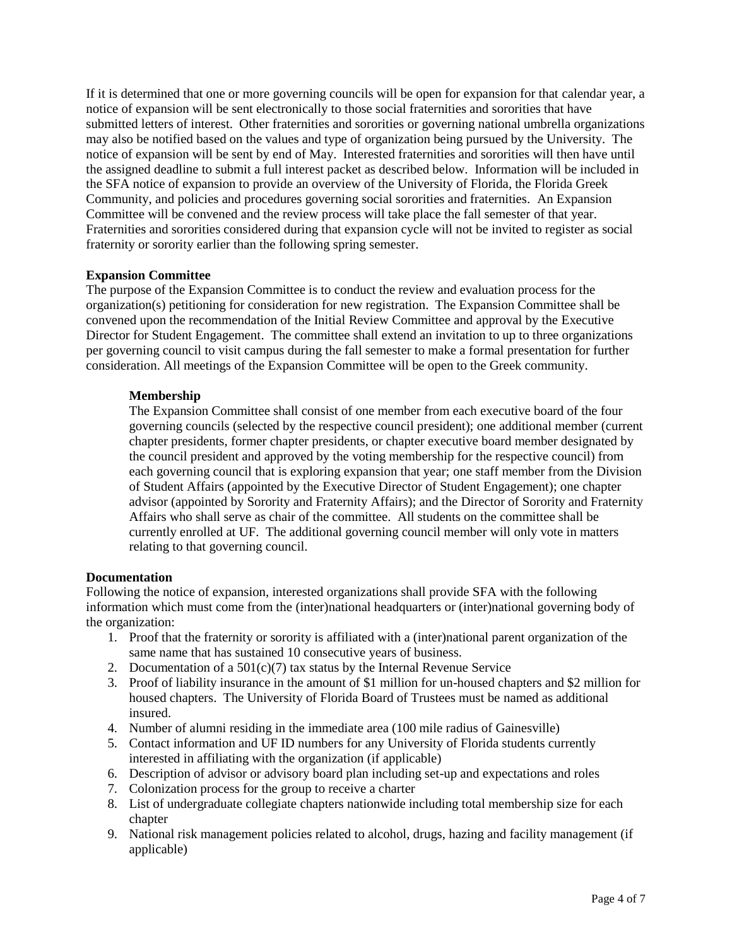If it is determined that one or more governing councils will be open for expansion for that calendar year, a notice of expansion will be sent electronically to those social fraternities and sororities that have submitted letters of interest. Other fraternities and sororities or governing national umbrella organizations may also be notified based on the values and type of organization being pursued by the University. The notice of expansion will be sent by end of May. Interested fraternities and sororities will then have until the assigned deadline to submit a full interest packet as described below. Information will be included in the SFA notice of expansion to provide an overview of the University of Florida, the Florida Greek Community, and policies and procedures governing social sororities and fraternities. An Expansion Committee will be convened and the review process will take place the fall semester of that year. Fraternities and sororities considered during that expansion cycle will not be invited to register as social fraternity or sorority earlier than the following spring semester.

## **Expansion Committee**

The purpose of the Expansion Committee is to conduct the review and evaluation process for the organization(s) petitioning for consideration for new registration. The Expansion Committee shall be convened upon the recommendation of the Initial Review Committee and approval by the Executive Director for Student Engagement. The committee shall extend an invitation to up to three organizations per governing council to visit campus during the fall semester to make a formal presentation for further consideration. All meetings of the Expansion Committee will be open to the Greek community.

### **Membership**

The Expansion Committee shall consist of one member from each executive board of the four governing councils (selected by the respective council president); one additional member (current chapter presidents, former chapter presidents, or chapter executive board member designated by the council president and approved by the voting membership for the respective council) from each governing council that is exploring expansion that year; one staff member from the Division of Student Affairs (appointed by the Executive Director of Student Engagement); one chapter advisor (appointed by Sorority and Fraternity Affairs); and the Director of Sorority and Fraternity Affairs who shall serve as chair of the committee. All students on the committee shall be currently enrolled at UF. The additional governing council member will only vote in matters relating to that governing council.

#### **Documentation**

Following the notice of expansion, interested organizations shall provide SFA with the following information which must come from the (inter)national headquarters or (inter)national governing body of the organization:

- 1. Proof that the fraternity or sorority is affiliated with a (inter)national parent organization of the same name that has sustained 10 consecutive years of business.
- 2. Documentation of a  $501(c)(7)$  tax status by the Internal Revenue Service
- 3. Proof of liability insurance in the amount of \$1 million for un-housed chapters and \$2 million for housed chapters. The University of Florida Board of Trustees must be named as additional insured.
- 4. Number of alumni residing in the immediate area (100 mile radius of Gainesville)
- 5. Contact information and UF ID numbers for any University of Florida students currently interested in affiliating with the organization (if applicable)
- 6. Description of advisor or advisory board plan including set-up and expectations and roles
- 7. Colonization process for the group to receive a charter
- 8. List of undergraduate collegiate chapters nationwide including total membership size for each chapter
- 9. National risk management policies related to alcohol, drugs, hazing and facility management (if applicable)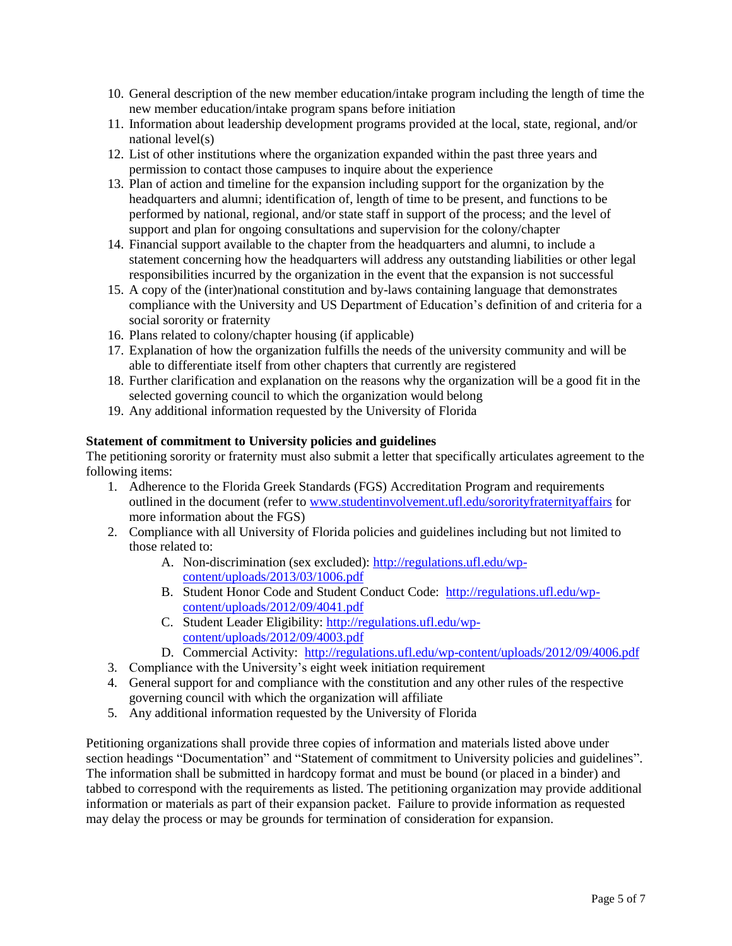- 10. General description of the new member education/intake program including the length of time the new member education/intake program spans before initiation
- 11. Information about leadership development programs provided at the local, state, regional, and/or national level(s)
- 12. List of other institutions where the organization expanded within the past three years and permission to contact those campuses to inquire about the experience
- 13. Plan of action and timeline for the expansion including support for the organization by the headquarters and alumni; identification of, length of time to be present, and functions to be performed by national, regional, and/or state staff in support of the process; and the level of support and plan for ongoing consultations and supervision for the colony/chapter
- 14. Financial support available to the chapter from the headquarters and alumni, to include a statement concerning how the headquarters will address any outstanding liabilities or other legal responsibilities incurred by the organization in the event that the expansion is not successful
- 15. A copy of the (inter)national constitution and by-laws containing language that demonstrates compliance with the University and US Department of Education's definition of and criteria for a social sorority or fraternity
- 16. Plans related to colony/chapter housing (if applicable)
- 17. Explanation of how the organization fulfills the needs of the university community and will be able to differentiate itself from other chapters that currently are registered
- 18. Further clarification and explanation on the reasons why the organization will be a good fit in the selected governing council to which the organization would belong
- 19. Any additional information requested by the University of Florida

# **Statement of commitment to University policies and guidelines**

The petitioning sorority or fraternity must also submit a letter that specifically articulates agreement to the following items:

- 1. Adherence to the Florida Greek Standards (FGS) Accreditation Program and requirements outlined in the document (refer to [www.studentinvolvement.ufl.edu/sororityfraternityaffairs](http://www.studentinvolvement.ufl.edu/sororityfraternityaffairs) for more information about the FGS)
- 2. Compliance with all University of Florida policies and guidelines including but not limited to those related to:
	- A. Non-discrimination (sex excluded): [http://regulations.ufl.edu/wp](http://regulations.ufl.edu/wp-content/uploads/2013/03/1006.pdf)[content/uploads/2013/03/1006.pdf](http://regulations.ufl.edu/wp-content/uploads/2013/03/1006.pdf)
	- B. Student Honor Code and Student Conduct Code: [http://regulations.ufl.edu/wp](http://regulations.ufl.edu/wp-content/uploads/2012/09/4041.pdf)[content/uploads/2012/09/4041.pdf](http://regulations.ufl.edu/wp-content/uploads/2012/09/4041.pdf)
	- C. Student Leader Eligibility: [http://regulations.ufl.edu/wp](http://regulations.ufl.edu/wp-content/uploads/2012/09/4003.pdf)[content/uploads/2012/09/4003.pdf](http://regulations.ufl.edu/wp-content/uploads/2012/09/4003.pdf)
	- D. Commercial Activity:<http://regulations.ufl.edu/wp-content/uploads/2012/09/4006.pdf>
- 3. Compliance with the University's eight week initiation requirement
- 4. General support for and compliance with the constitution and any other rules of the respective governing council with which the organization will affiliate
- 5. Any additional information requested by the University of Florida

Petitioning organizations shall provide three copies of information and materials listed above under section headings "Documentation" and "Statement of commitment to University policies and guidelines". The information shall be submitted in hardcopy format and must be bound (or placed in a binder) and tabbed to correspond with the requirements as listed. The petitioning organization may provide additional information or materials as part of their expansion packet. Failure to provide information as requested may delay the process or may be grounds for termination of consideration for expansion.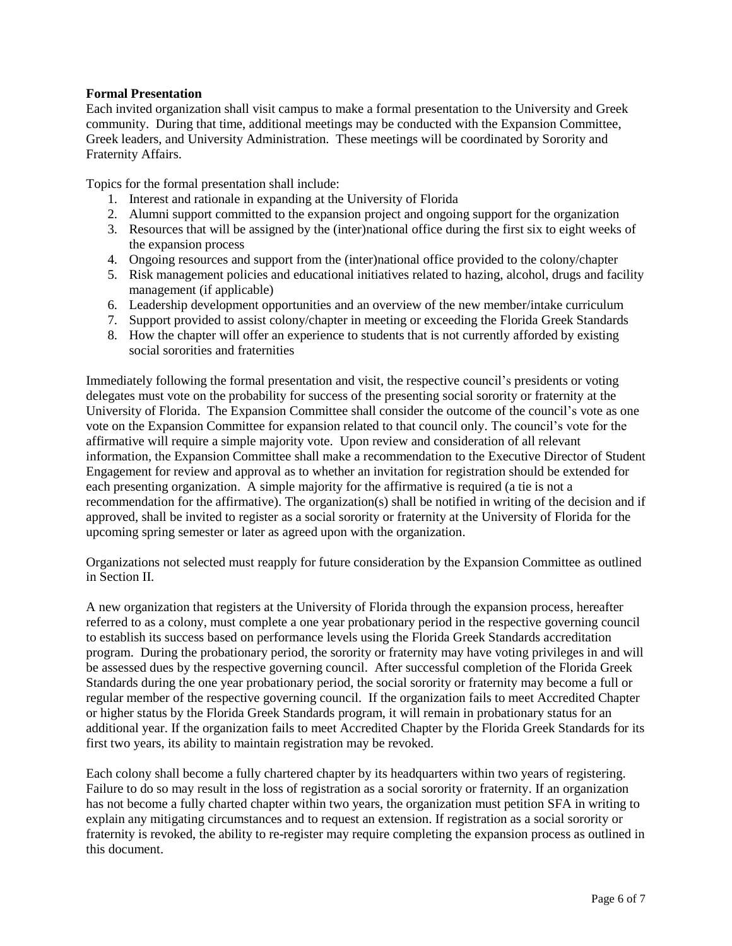## **Formal Presentation**

Each invited organization shall visit campus to make a formal presentation to the University and Greek community. During that time, additional meetings may be conducted with the Expansion Committee, Greek leaders, and University Administration. These meetings will be coordinated by Sorority and Fraternity Affairs.

Topics for the formal presentation shall include:

- 1. Interest and rationale in expanding at the University of Florida
- 2. Alumni support committed to the expansion project and ongoing support for the organization
- 3. Resources that will be assigned by the (inter)national office during the first six to eight weeks of the expansion process
- 4. Ongoing resources and support from the (inter)national office provided to the colony/chapter
- 5. Risk management policies and educational initiatives related to hazing, alcohol, drugs and facility management (if applicable)
- 6. Leadership development opportunities and an overview of the new member/intake curriculum
- 7. Support provided to assist colony/chapter in meeting or exceeding the Florida Greek Standards
- 8. How the chapter will offer an experience to students that is not currently afforded by existing social sororities and fraternities

Immediately following the formal presentation and visit, the respective council's presidents or voting delegates must vote on the probability for success of the presenting social sorority or fraternity at the University of Florida. The Expansion Committee shall consider the outcome of the council's vote as one vote on the Expansion Committee for expansion related to that council only. The council's vote for the affirmative will require a simple majority vote. Upon review and consideration of all relevant information, the Expansion Committee shall make a recommendation to the Executive Director of Student Engagement for review and approval as to whether an invitation for registration should be extended for each presenting organization. A simple majority for the affirmative is required (a tie is not a recommendation for the affirmative). The organization(s) shall be notified in writing of the decision and if approved, shall be invited to register as a social sorority or fraternity at the University of Florida for the upcoming spring semester or later as agreed upon with the organization.

Organizations not selected must reapply for future consideration by the Expansion Committee as outlined in Section II.

A new organization that registers at the University of Florida through the expansion process, hereafter referred to as a colony, must complete a one year probationary period in the respective governing council to establish its success based on performance levels using the Florida Greek Standards accreditation program. During the probationary period, the sorority or fraternity may have voting privileges in and will be assessed dues by the respective governing council. After successful completion of the Florida Greek Standards during the one year probationary period, the social sorority or fraternity may become a full or regular member of the respective governing council. If the organization fails to meet Accredited Chapter or higher status by the Florida Greek Standards program, it will remain in probationary status for an additional year. If the organization fails to meet Accredited Chapter by the Florida Greek Standards for its first two years, its ability to maintain registration may be revoked.

Each colony shall become a fully chartered chapter by its headquarters within two years of registering. Failure to do so may result in the loss of registration as a social sorority or fraternity. If an organization has not become a fully charted chapter within two years, the organization must petition SFA in writing to explain any mitigating circumstances and to request an extension. If registration as a social sorority or fraternity is revoked, the ability to re-register may require completing the expansion process as outlined in this document.